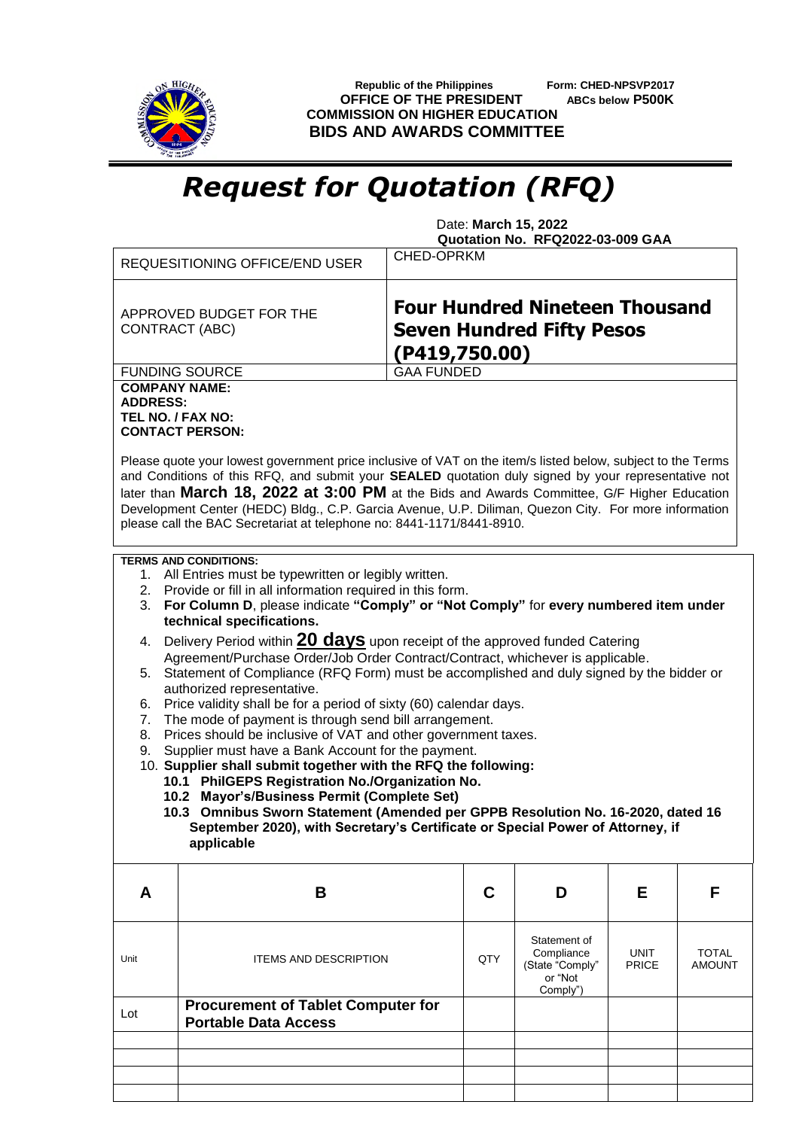

 **Republic of the Philippines Form: CHED-NPSVP2017 OFFICE OF THE PRESIDENT ABCs below P500K COMMISSION ON HIGHER EDUCATION BIDS AND AWARDS COMMITTEE**

## *Request for Quotation (RFQ)*

 Date: **March 15, 2022 Quotation No. RFQ2022-03-009 GAA**

|                                                              | <b>REQUESITIONING OFFICE/END USER</b>                                                                                                                                                                                                                                        | CHED-OPRKM                                                                                 |                                                                      |                      |                               |  |  |
|--------------------------------------------------------------|------------------------------------------------------------------------------------------------------------------------------------------------------------------------------------------------------------------------------------------------------------------------------|--------------------------------------------------------------------------------------------|----------------------------------------------------------------------|----------------------|-------------------------------|--|--|
|                                                              | APPROVED BUDGET FOR THE<br><b>CONTRACT (ABC)</b>                                                                                                                                                                                                                             | <b>Four Hundred Nineteen Thousand</b><br><b>Seven Hundred Fifty Pesos</b><br>(P419,750.00) |                                                                      |                      |                               |  |  |
|                                                              | <b>FUNDING SOURCE</b>                                                                                                                                                                                                                                                        | <b>GAA FUNDED</b>                                                                          |                                                                      |                      |                               |  |  |
| <b>COMPANY NAME:</b><br><b>ADDRESS:</b><br>TEL NO. / FAX NO: | <b>CONTACT PERSON:</b><br>Please quote your lowest government price inclusive of VAT on the item/s listed below, subject to the Terms<br>and Conditions of this RFQ, and submit your SEALED quotation duly signed by your representative not                                 |                                                                                            |                                                                      |                      |                               |  |  |
|                                                              | later than March 18, 2022 at 3:00 PM at the Bids and Awards Committee, G/F Higher Education<br>Development Center (HEDC) Bldg., C.P. Garcia Avenue, U.P. Diliman, Quezon City. For more information<br>please call the BAC Secretariat at telephone no: 8441-1171/8441-8910. |                                                                                            |                                                                      |                      |                               |  |  |
| 3.                                                           | <b>TERMS AND CONDITIONS:</b><br>1. All Entries must be typewritten or legibly written.<br>2. Provide or fill in all information required in this form.<br>For Column D, please indicate "Comply" or "Not Comply" for every numbered item under<br>technical specifications.  |                                                                                            |                                                                      |                      |                               |  |  |
| 4.                                                           | Delivery Period within 20 days upon receipt of the approved funded Catering<br>Agreement/Purchase Order/Job Order Contract/Contract, whichever is applicable.                                                                                                                |                                                                                            |                                                                      |                      |                               |  |  |
| 5.                                                           | Statement of Compliance (RFQ Form) must be accomplished and duly signed by the bidder or<br>authorized representative.                                                                                                                                                       |                                                                                            |                                                                      |                      |                               |  |  |
| 6.                                                           | Price validity shall be for a period of sixty (60) calendar days.                                                                                                                                                                                                            |                                                                                            |                                                                      |                      |                               |  |  |
| 7.                                                           | The mode of payment is through send bill arrangement.                                                                                                                                                                                                                        |                                                                                            |                                                                      |                      |                               |  |  |
| 9.                                                           | Prices should be inclusive of VAT and other government taxes.<br>8.<br>Supplier must have a Bank Account for the payment.                                                                                                                                                    |                                                                                            |                                                                      |                      |                               |  |  |
|                                                              | 10. Supplier shall submit together with the RFQ the following:                                                                                                                                                                                                               |                                                                                            |                                                                      |                      |                               |  |  |
|                                                              | 10.1 PhilGEPS Registration No./Organization No.<br>10.2 Mayor's/Business Permit (Complete Set)                                                                                                                                                                               |                                                                                            |                                                                      |                      |                               |  |  |
|                                                              | 10.3 Omnibus Sworn Statement (Amended per GPPB Resolution No. 16-2020, dated 16                                                                                                                                                                                              |                                                                                            |                                                                      |                      |                               |  |  |
|                                                              | September 2020), with Secretary's Certificate or Special Power of Attorney, if<br>applicable                                                                                                                                                                                 |                                                                                            |                                                                      |                      |                               |  |  |
| A                                                            | B                                                                                                                                                                                                                                                                            | C                                                                                          | D                                                                    | Е                    | F                             |  |  |
| Unit                                                         | <b>ITEMS AND DESCRIPTION</b>                                                                                                                                                                                                                                                 | QTY                                                                                        | Statement of<br>Compliance<br>(State "Comply"<br>or "Not<br>Comply") | UNIT<br><b>PRICE</b> | <b>TOTAL</b><br><b>AMOUNT</b> |  |  |
| Lot                                                          | <b>Procurement of Tablet Computer for</b><br><b>Portable Data Access</b>                                                                                                                                                                                                     |                                                                                            |                                                                      |                      |                               |  |  |
|                                                              |                                                                                                                                                                                                                                                                              |                                                                                            |                                                                      |                      |                               |  |  |
|                                                              |                                                                                                                                                                                                                                                                              |                                                                                            |                                                                      |                      |                               |  |  |
|                                                              |                                                                                                                                                                                                                                                                              |                                                                                            |                                                                      |                      |                               |  |  |
|                                                              |                                                                                                                                                                                                                                                                              |                                                                                            |                                                                      |                      |                               |  |  |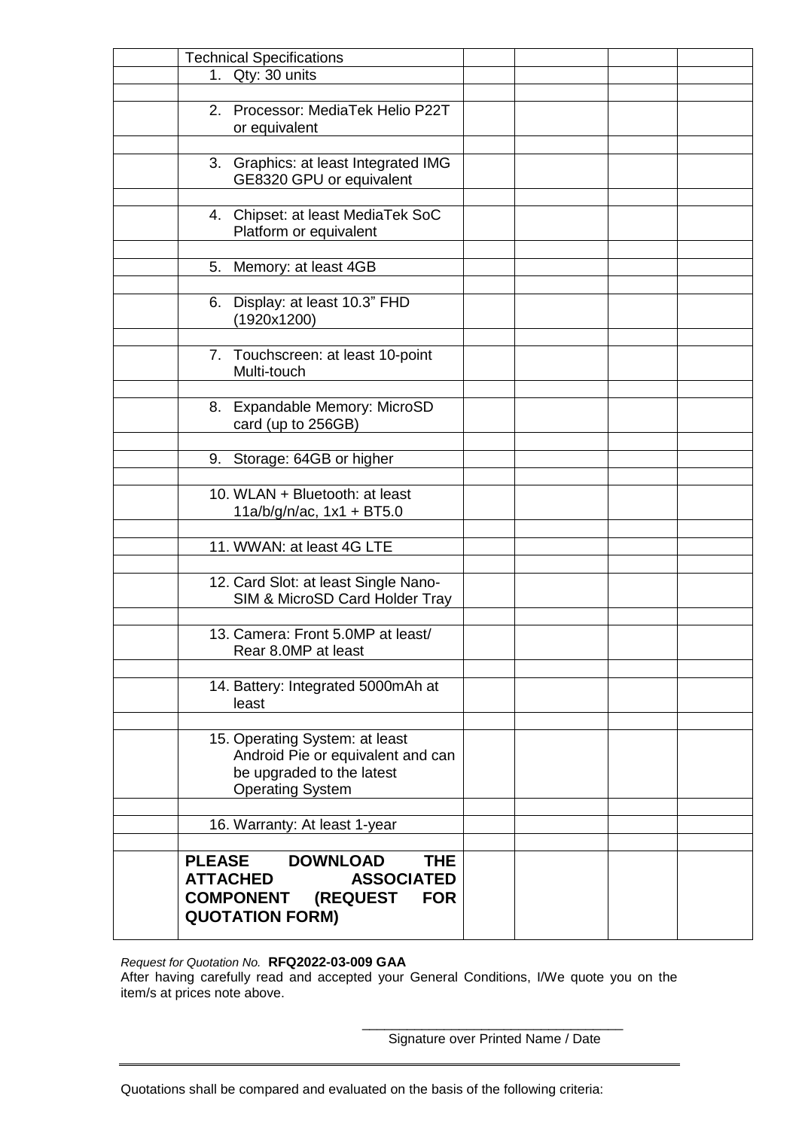| <b>Technical Specifications</b>                |  |  |
|------------------------------------------------|--|--|
| 1. Qty: 30 units                               |  |  |
|                                                |  |  |
| 2. Processor: MediaTek Helio P22T              |  |  |
| or equivalent                                  |  |  |
|                                                |  |  |
| 3. Graphics: at least Integrated IMG           |  |  |
| GE8320 GPU or equivalent                       |  |  |
|                                                |  |  |
| 4. Chipset: at least MediaTek SoC              |  |  |
| Platform or equivalent                         |  |  |
|                                                |  |  |
| Memory: at least 4GB<br>5.                     |  |  |
|                                                |  |  |
|                                                |  |  |
| 6. Display: at least 10.3" FHD                 |  |  |
| (1920x1200)                                    |  |  |
|                                                |  |  |
| 7. Touchscreen: at least 10-point              |  |  |
| Multi-touch                                    |  |  |
|                                                |  |  |
| <b>Expandable Memory: MicroSD</b><br>8.        |  |  |
| card (up to 256GB)                             |  |  |
|                                                |  |  |
| Storage: 64GB or higher<br>9.                  |  |  |
|                                                |  |  |
| 10. WLAN + Bluetooth: at least                 |  |  |
| $11a/b/g/n/ac$ , $1x1 + BT5.0$                 |  |  |
|                                                |  |  |
| 11. WWAN: at least 4G LTE                      |  |  |
|                                                |  |  |
| 12. Card Slot: at least Single Nano-           |  |  |
| SIM & MicroSD Card Holder Tray                 |  |  |
|                                                |  |  |
| 13. Camera: Front 5.0MP at least/              |  |  |
| Rear 8.0MP at least                            |  |  |
|                                                |  |  |
| 14. Battery: Integrated 5000mAh at             |  |  |
| least                                          |  |  |
|                                                |  |  |
| 15. Operating System: at least                 |  |  |
| Android Pie or equivalent and can              |  |  |
| be upgraded to the latest                      |  |  |
| <b>Operating System</b>                        |  |  |
|                                                |  |  |
| 16. Warranty: At least 1-year                  |  |  |
|                                                |  |  |
|                                                |  |  |
| <b>PLEASE</b><br><b>DOWNLOAD</b><br><b>THE</b> |  |  |
| <b>ATTACHED</b><br><b>ASSOCIATED</b>           |  |  |
| (REQUEST<br><b>COMPONENT</b><br><b>FOR</b>     |  |  |
| <b>QUOTATION FORM)</b>                         |  |  |
|                                                |  |  |

*Request for Quotation No.* **RFQ2022-03-009 GAA**

After having carefully read and accepted your General Conditions, I/We quote you on the item/s at prices note above.

> \_\_\_\_\_\_\_\_\_\_\_\_\_\_\_\_\_\_\_\_\_\_\_\_\_\_\_\_\_\_\_\_\_\_\_ Signature over Printed Name / Date